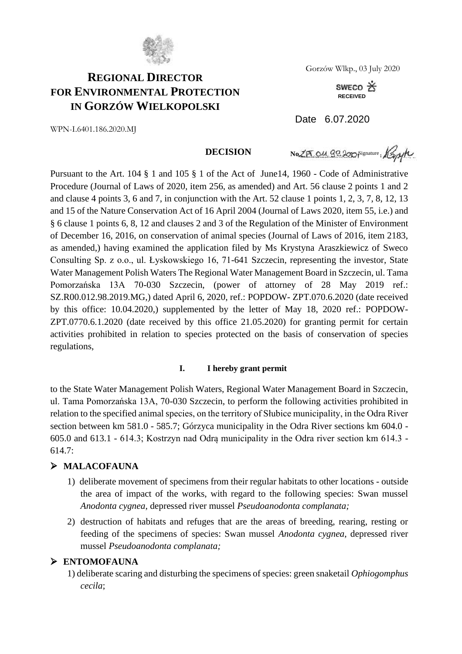

# **REGIONAL DIRECTOR FOR ENVIRONMENTAL PROTECTION IN GORZÓW WIELKOPOLSKI**

Gorzów Wlkp., 03 July 2020

SWECO X **RECEIVED**

Date 6.07.2020

WPN-I.6401.186.2020.MJ

#### **DECISION**

No 25 011 82200 Signature, Kapyte

Pursuant to the Art. 104 § 1 and 105 § 1 of the Act of June14, 1960 - Code of Administrative Procedure (Journal of Laws of 2020, item 256, as amended) and Art. 56 clause 2 points 1 and 2 and clause 4 points 3, 6 and 7, in conjunction with the Art. 52 clause 1 points 1, 2, 3, 7, 8, 12, 13 and 15 of the Nature Conservation Act of 16 April 2004 (Journal of Laws 2020, item 55, i.e.) and § 6 clause 1 points 6, 8, 12 and clauses 2 and 3 of the Regulation of the Minister of Environment of December 16, 2016, on conservation of animal species (Journal of Laws of 2016, item 2183, as amended,) having examined the application filed by Ms Krystyna Araszkiewicz of Sweco Consulting Sp. z o.o., ul. Łyskowskiego 16, 71-641 Szczecin, representing the investor, State Water Management Polish Waters The Regional Water Management Board in Szczecin, ul. Tama Pomorzańska 13A 70-030 Szczecin, (power of attorney of 28 May 2019 ref.: SZ.R00.012.98.2019.MG,) dated April 6, 2020, ref.: POPDOW- ZPT.070.6.2020 (date received by this office: 10.04.2020,) supplemented by the letter of May 18, 2020 ref.: POPDOW-ZPT.0770.6.1.2020 (date received by this office 21.05.2020) for granting permit for certain activities prohibited in relation to species protected on the basis of conservation of species regulations,

#### **I. I hereby grant permit**

to the State Water Management Polish Waters, Regional Water Management Board in Szczecin, ul. Tama Pomorzańska 13A, 70-030 Szczecin, to perform the following activities prohibited in relation to the specified animal species, on the territory of Słubice municipality, in the Odra River section between km 581.0 - 585.7; Górzyca municipality in the Odra River sections km 604.0 - 605.0 and 613.1 - 614.3; Kostrzyn nad Odrą municipality in the Odra river section km 614.3 - 614.7:

### ➢ **MALACOFAUNA**

- 1) deliberate movement of specimens from their regular habitats to other locations outside the area of impact of the works, with regard to the following species: Swan mussel *Anodonta cygnea*, depressed river mussel *Pseudoanodonta complanata;*
- 2) destruction of habitats and refuges that are the areas of breeding, rearing, resting or feeding of the specimens of species: Swan mussel *Anodonta cygnea*, depressed river mussel *Pseudoanodonta complanata;*

### ➢ **ENTOMOFAUNA**

1) deliberate scaring and disturbing the specimens of species: green snaketail *Ophiogomphus cecila*;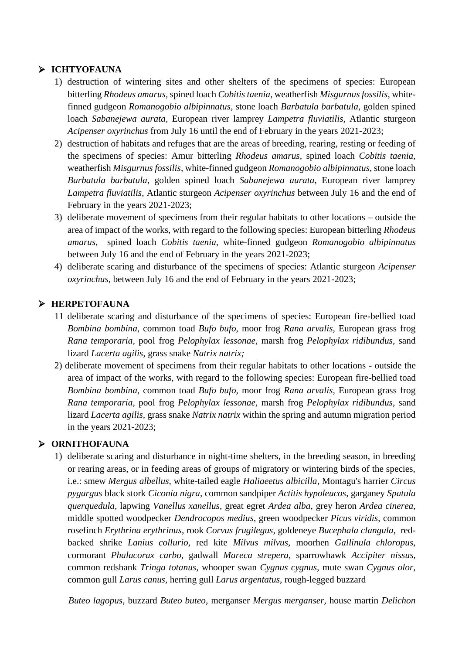## ➢ **ICHTYOFAUNA**

- 1) destruction of wintering sites and other shelters of the specimens of species: European bitterling *Rhodeus amarus,* spined loach *Cobitis taenia*, weatherfish *Misgurnus fossilis*, whitefinned gudgeon *Romanogobio albipinnatus*, stone loach *Barbatula barbatula*, golden spined loach *Sabanejewa aurata,* European river lamprey *Lampetra fluviatilis,* Atlantic sturgeon *Acipenser oxyrinchus* from July 16 until the end of February in the years 2021-2023;
- 2) destruction of habitats and refuges that are the areas of breeding, rearing, resting or feeding of the specimens of species: Amur bitterling *Rhodeus amarus,* spined loach *Cobitis taenia,* weatherfish *Misgurnus fossilis*, white-finned gudgeon *Romanogobio albipinnatus*, stone loach *Barbatula barbatula*, golden spined loach *Sabanejewa aurata,* European river lamprey *Lampetra fluviatilis*, Atlantic sturgeon *Acipenser oxyrinchus* between July 16 and the end of February in the years 2021-2023;
- 3) deliberate movement of specimens from their regular habitats to other locations outside the area of impact of the works, with regard to the following species: European bitterling *Rhodeus amarus,* spined loach *Cobitis taenia,* white-finned gudgeon *Romanogobio albipinnatus* between July 16 and the end of February in the years 2021-2023;
- 4) deliberate scaring and disturbance of the specimens of species: Atlantic sturgeon *Acipenser oxyrinchus,* between July 16 and the end of February in the years 2021-2023;

### ➢ **HERPETOFAUNA**

- 11 deliberate scaring and disturbance of the specimens of species: European fire-bellied toad *Bombina bombina,* common toad *Bufo bufo,* moor frog *Rana arvalis,* European grass frog *Rana temporaria,* pool frog *Pelophylax lessonae,* marsh frog *Pelophylax ridibundus,* sand lizard *Lacerta agilis,* grass snake *Natrix natrix;*
- 2) deliberate movement of specimens from their regular habitats to other locations outside the area of impact of the works, with regard to the following species: European fire-bellied toad *Bombina bombina,* common toad *Bufo bufo,* moor frog *Rana arvalis,* European grass frog *Rana temporaria,* pool frog *Pelophylax lessonae,* marsh frog *Pelophylax ridibundus,* sand lizard *Lacerta agilis,* grass snake *Natrix natrix* within the spring and autumn migration period in the years 2021-2023;

### ➢ **ORNITHOFAUNA**

1) deliberate scaring and disturbance in night-time shelters, in the breeding season, in breeding or rearing areas, or in feeding areas of groups of migratory or wintering birds of the species, i.e.: smew *Mergus albellus,* white-tailed eagle *Haliaeetus albicilla*, Montagu's harrier *Circus pygargus* black stork *Ciconia nigra,* common sandpiper *Actitis hypoleucos*, garganey *Spatula querquedula,* lapwing *Vanellus xanellus*, great egret *Ardea alba*, grey heron *Ardea cinerea*, middle spotted woodpecker *Dendrocopos medius*, green woodpecker *Picus viridis*, common rosefinch *Erythrina erythrinus*, rook *Corvus frugilegus*, goldeneye *Bucephala clangula*, redbacked shrike *Lanius collurio,* red kite *Milvus milvus,* moorhen *Gallinula chloropus*, cormorant *Phalacorax carbo,* gadwall *Mareca strepera,* sparrowhawk *Accipiter nissus,*  common redshank *Tringa totanus,* whooper swan *Cygnus cygnus,* mute swan *Cygnus olor,*  common gull *Larus canus,* herring gull *Larus argentatus,* rough-legged buzzard

*Buteo lagopus,* buzzard *Buteo buteo,* merganser *Mergus merganser,* house martin *Delichon*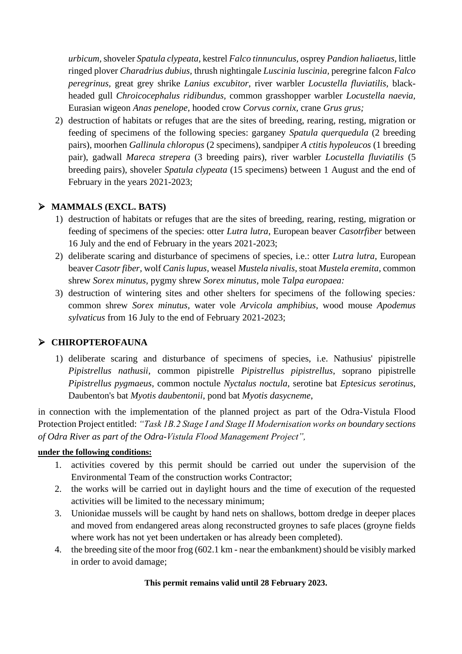*urbicum,*shoveler *Spatula clypeata,* kestrel *Falco tinnunculus,* osprey *Pandion haliaetus,* little ringed plover *Charadrius dubius,* thrush nightingale *Luscinia luscinia,* peregrine falcon *Falco peregrinus,* great grey shrike *Lanius excubitor*, river warbler *Locustella fluviatilis,* blackheaded gull *Chroicocephalus ridibundus,* common grasshopper warbler *Locustella naevia,* Eurasian wigeon *Anas penelope,* hooded crow *Corvus cornix,* crane *Grus grus;*

2) destruction of habitats or refuges that are the sites of breeding, rearing, resting, migration or feeding of specimens of the following species: garganey *Spatula querquedula* (2 breeding pairs), moorhen *Gallinula chloropus* (2 specimens), sandpiper *A ctitis hypoleucos* (1 breeding pair), gadwall *Mareca strepera* (3 breeding pairs), river warbler *Locustella fluviatilis* (5 breeding pairs), shoveler *Spatula clypeata* (15 specimens) between 1 August and the end of February in the years 2021-2023;

### ➢ **MAMMALS (EXCL. BATS)**

- 1) destruction of habitats or refuges that are the sites of breeding, rearing, resting, migration or feeding of specimens of the species: otter *Lutra lutra*, European beaver *Casotrfiber* between 16 July and the end of February in the years 2021-2023;
- 2) deliberate scaring and disturbance of specimens of species, i.e.: otter *Lutra lutra,* European beaver *Casotr fiber,* wolf *Canis lupus,* weasel *Mustela nivalis,* stoat *Mustela eremita,* common shrew *Sorex minutus,* pygmy shrew *Sorex minutus,* mole *Talpa europaea:*
- 3) destruction of wintering sites and other shelters for specimens of the following species*:*  common shrew *Sorex minutus,* water vole *Arvicola amphibius*, wood mouse *Apodemus sylvaticus* from 16 July to the end of February 2021-2023;

### ➢ **CHIROPTEROFAUNA**

1) deliberate scaring and disturbance of specimens of species, i.e. Nathusius' pipistrelle *Pipistrellus nathusii*, common pipistrelle *Pipistrellus pipistrellus*, soprano pipistrelle *Pipistrellus pygmaeus*, common noctule *Nyctalus noctula*, serotine bat *Eptesicus serotinus*, Daubenton's bat *Myotis daubentonii*, pond bat *Myotis dasycneme*,

in connection with the implementation of the planned project as part of the Odra-Vistula Flood Protection Project entitled: *"Task 1B.2 Stage I and Stage II Modernisation works on boundary sections of Odra River as part of the Odra-Vistula Flood Management Project",*

### **under the following conditions:**

- 1. activities covered by this permit should be carried out under the supervision of the Environmental Team of the construction works Contractor;
- 2. the works will be carried out in daylight hours and the time of execution of the requested activities will be limited to the necessary minimum;
- 3. Unionidae mussels will be caught by hand nets on shallows, bottom dredge in deeper places and moved from endangered areas along reconstructed groynes to safe places (groyne fields where work has not yet been undertaken or has already been completed).
- 4. the breeding site of the moor frog (602.1 km near the embankment) should be visibly marked in order to avoid damage;

### **This permit remains valid until 28 February 2023.**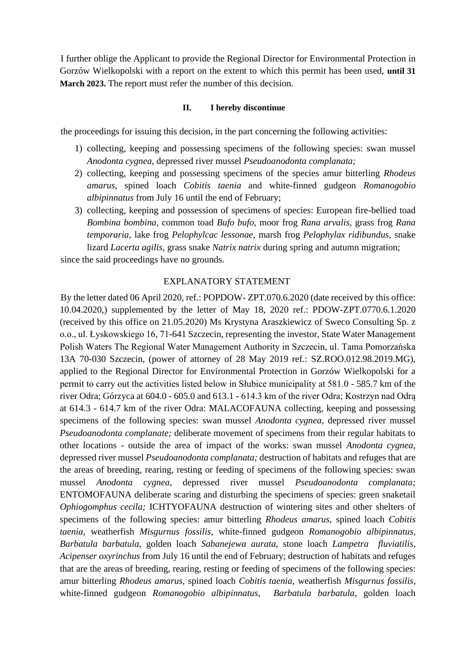I further oblige the Applicant to provide the Regional Director for Environmental Protection in Gorzów Wielkopolski with a report on the extent to which this permit has been used, **until 31 March 2023.** The report must refer the number of this decision.

#### **II. I hereby discontinue**

the proceedings for issuing this decision, in the part concerning the following activities:

- 1) collecting, keeping and possessing specimens of the following species: swan mussel *Anodonta cygnea,* depressed river mussel *Pseudoanodonta complanata;*
- 2) collecting, keeping and possessing specimens of the species amur bitterling *Rhodeus amarus,* spined loach *Cobitis taenia* and white-finned gudgeon *Romanogobio albipinnatus* from July 16 until the end of February;
- 3) collecting, keeping and possession of specimens of species: European fire-bellied toad *Bombina bombina*, common toad *Bufo bufo,* moor frog *Rana arvalis,* grass frog *Rana temporaria,* lake frog *Pelophylcac lessonae,* marsh frog *Pelophylax ridibundus,* snake lizard *Lacerta agilis,* grass snake *Natrix natrix* during spring and autumn migration;

since the said proceedings have no grounds.

#### EXPLANATORY STATEMENT

By the letter dated 06 April 2020, ref.: POPDOW- ZPT.070.6.2020 (date received by this office: 10.04.2020,) supplemented by the letter of May 18, 2020 ref.: PDOW-ZPT.0770.6.1.2020 (received by this office on 21.05.2020) Ms Krystyna Araszkiewicz of Sweco Consulting Sp. z o.o., ul. Łyskowskiego 16, 71-641 Szczecin, representing the investor, State Water Management Polish Waters The Regional Water Management Authority in Szczecin, ul. Tama Pomorzańska 13A 70-030 Szczecin, (power of attorney of 28 May 2019 ref.: SZ.ROO.012.98.2019.MG), applied to the Regional Director for Environmental Protection in Gorzów Wielkopolski for a permit to carry out the activities listed below in Słubice municipality at 581.0 - 585.7 km of the river Odra; Górzyca at 604.0 - 605.0 and 613.1 - 614.3 km of the river Odra; Kostrzyn nad Odrą at 614.3 - 614.7 km of the river Odra: MALACOFAUNA collecting, keeping and possessing specimens of the following species: swan mussel *Anodonta cygnea*, depressed river mussel *Pseudoanodonta complanate;* deliberate movement of specimens from their regular habitats to other locations - outside the area of impact of the works: swan mussel *Anodonta cygnea,* depressed river mussel *Pseudoanodonta complanata;* destruction of habitats and refuges that are the areas of breeding, rearing, resting or feeding of specimens of the following species: swan mussel *Anodonta cygnea,* depressed river mussel *Pseudoanodonta complanata;*  ENTOMOFAUNA deliberate scaring and disturbing the specimens of species: green snaketail *Ophiogomphus cecila;* ICHTYOFAUNA destruction of wintering sites and other shelters of specimens of the following species: amur bitterling *Rhodeus amarus,* spined loach *Cobitis taenia*, weatherfish *Misgurnus fossilis*, white-finned gudgeon *Romanogobio albipinnatus*, *Barbatula barbatula*, golden loach *Sabanejewa aurata,* stone loach *Lampetra fluviatilis*, *Acipenser oxyrinchus* from July 16 until the end of February; destruction of habitats and refuges that are the areas of breeding, rearing, resting or feeding of specimens of the following species: amur bitterling *Rhodeus amarus,* spined loach *Cobitis taenia*, weatherfish *Misgurnus fossilis*, white-finned gudgeon *Romanogobio albipinnatus*, *Barbatula barbatula*, golden loach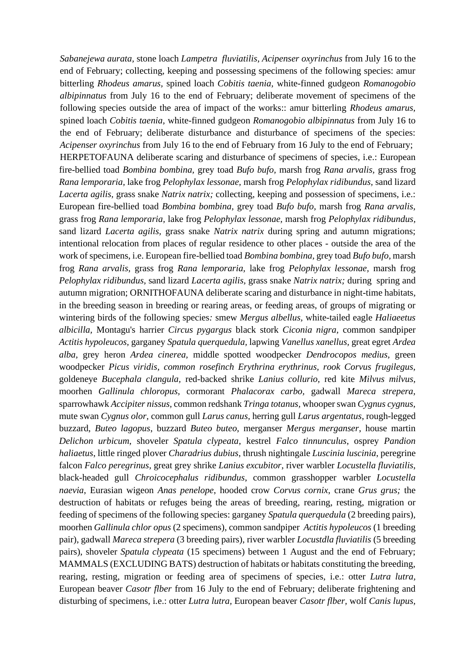*Sabanejewa aurata,* stone loach *Lampetra fluviatilis*, *Acipenser oxyrinchus* from July 16 to the end of February; collecting, keeping and possessing specimens of the following species: amur bitterling *Rhodeus amarus,* spined loach *Cobitis taenia,* white-finned gudgeon *Romanogobio albipinnatus* from July 16 to the end of February; deliberate movement of specimens of the following species outside the area of impact of the works:: amur bitterling *Rhodeus amarus,* spined loach *Cobitis taenia,* white-finned gudgeon *Romanogobio albipinnatus* from July 16 to the end of February; deliberate disturbance and disturbance of specimens of the species: *Acipenser oxyrinchus* from July 16 to the end of February from 16 July to the end of February; HERPETOFAUNA deliberate scaring and disturbance of specimens of species, i.e.: European fire-bellied toad *Bombina bombina,* grey toad *Bufo bufo,* marsh frog *Rana arvalis,* grass frog *Rana lemporaria,* lake frog *Pelophylax lessonae,* marsh frog *Pelophylax ridibundus,* sand lizard *Lacerta agilis,* grass snake *Natrix natrix;* collecting, keeping and possession of specimens, i.e.: European fire-bellied toad *Bombina bombina,* grey toad *Bufo bufo,* marsh frog *Rana arvalis,* grass frog *Rana lemporaria,* lake frog *Pelophylax lessonae,* marsh frog *Pelophylax ridibundus,* sand lizard *Lacerta agilis,* grass snake *Natrix natrix* during spring and autumn migrations; intentional relocation from places of regular residence to other places - outside the area of the work of specimens, i.e. European fire-bellied toad *Bombina bombina,* grey toad *Bufo bufo,* marsh frog *Rana arvalis,* grass frog *Rana lemporaria,* lake frog *Pelophylax lessonae,* marsh frog *Pelophylax ridibundus,* sand lizard *Lacerta agilis,* grass snake *Natrix natrix;* during spring and autumn migration; ORNITHOFAUNA deliberate scaring and disturbance in night-time habitats, in the breeding season in breeding or rearing areas, or feeding areas, of groups of migrating or wintering birds of the following species*:* smew *Mergus albellus,* white-tailed eagle *Haliaeetus albicilla,* Montagu's harrier *Circus pygargus* black stork *Ciconia nigra,* common sandpiper *Actitis hypoleucos,* garganey *Spatula querquedula,* lapwing *Vanellus xanellus,* great egret *Ardea alba,* grey heron *Ardea cinerea,* middle spotted woodpecker *Dendrocopos medius,* green woodpecker *Picus viridis, common rosefinch Erythrina erythrinus, rook Corvus frugilegus,*  goldeneye *Bucephala clangula,* red-backed shrike *Lanius collurio,* red kite *Milvus milvus,*  moorhen *Gallinula chloropus,* cormorant *Phalacorax carbo,* gadwall *Mareca strepera,*  sparrowhawk *Accipiter nissus,* common redshank *Tringa totanus,* whooper swan *Cygnus cygnus,*  mute swan *Cygnus olor,* common gull *Larus canus,* herring gull *Larus argentatus*, rough-legged buzzard, *Buteo lagopus*, buzzard *Buteo buteo*, merganser *Mergus merganser*, house martin *Delichon urbicum*, shoveler *Spatula clypeata*, kestrel *Falco tinnunculus*, osprey *Pandion haliaetus*, little ringed plover *Charadrius dubius*, thrush nightingale *Luscinia luscinia*, peregrine falcon *Falco peregrinus*, great grey shrike *Lanius excubitor*, river warbler *Locustella fluviatilis*, black-headed gull *Chroicocephalus ridibundus*, common grasshopper warbler *Locustella naevia*, Eurasian wigeon *Anas penelope*, hooded crow *Corvus cornix*, crane *Grus grus;* the destruction of habitats or refuges being the areas of breeding, rearing, resting, migration or feeding of specimens of the following species: garganey *Spatula querquedula* (2 breeding pairs), moorhen *Gallinula chlor opus* (2 specimens), common sandpiper *Actitis hypoleucos* (1 breeding pair), gadwall *Mareca strepera* (3 breeding pairs), river warbler *Locustdla fluviatilis* (5 breeding pairs), shoveler *Spatula clypeata* (15 specimens) between 1 August and the end of February; MAMMALS (EXCLUDING BATS) destruction of habitats or habitats constituting the breeding, rearing, resting, migration or feeding area of specimens of species, i.e.: otter *Lutra lutra,* European beaver *Casotr flber* from 16 July to the end of February; deliberate frightening and disturbing of specimens, i.e.: otter *Lutra lutra,* European beaver *Casotr flber,* wolf *Canis lupus,*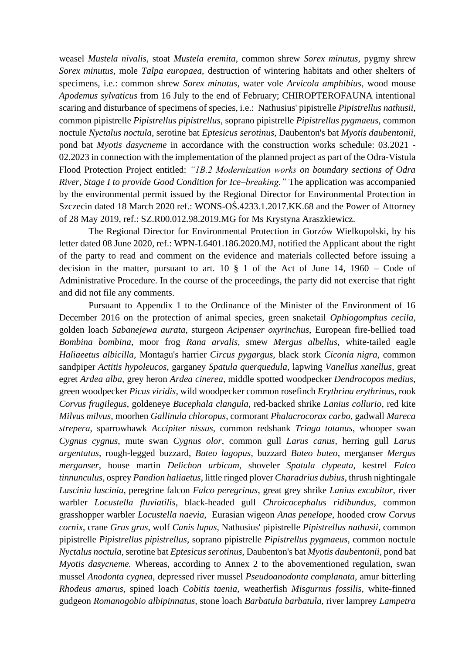weasel *Mustela nivalis,* stoat *Mustela eremita*, common shrew *Sorex minutus*, pygmy shrew *Sorex minutus*, mole *Talpa europaea,* destruction of wintering habitats and other shelters of specimens, i.e.: common shrew *Sorex minutus*, water vole *Arvicola amphibius*, wood mouse *Apodemus sylvaticus* from 16 July to the end of February; CHIROPTEROFAUNA intentional scaring and disturbance of specimens of species, i.e.: Nathusius' pipistrelle *Pipistrellus nathusii*, common pipistrelle *Pipistrellus pipistrellus*, soprano pipistrelle *Pipistrellus pygmaeus*, common noctule *Nyctalus noctula*, serotine bat *Eptesicus serotinus*, Daubenton's bat *Myotis daubentonii*, pond bat *Myotis dasycneme* in accordance with the construction works schedule: 03.2021 - 02.2023 in connection with the implementation of the planned project as part of the Odra-Vistula Flood Protection Project entitled: *"1B.2 Modernization works on boundary sections of Odra River, Stage I to provide Good Condition for Ice–breaking."* The application was accompanied by the environmental permit issued by the Regional Director for Environmental Protection in Szczecin dated 18 March 2020 ref.: WONS-OŚ.4233.1.2017.KK.68 and the Power of Attorney of 28 May 2019, ref.: SZ.R00.012.98.2019.MG for Ms Krystyna Araszkiewicz.

The Regional Director for Environmental Protection in Gorzów Wielkopolski, by his letter dated 08 June 2020, ref.: WPN-I.6401.186.2020.MJ, notified the Applicant about the right of the party to read and comment on the evidence and materials collected before issuing a decision in the matter, pursuant to art.  $10 \tS 1$  of the Act of June 14, 1960 – Code of Administrative Procedure. In the course of the proceedings, the party did not exercise that right and did not file any comments.

Pursuant to Appendix 1 to the Ordinance of the Minister of the Environment of 16 December 2016 on the protection of animal species, green snaketail *Ophiogomphus cecila*, golden loach *Sabanejewa aurata,* sturgeon *Acipenser oxyrinchus*, European fire-bellied toad *Bombina bombina,* moor frog *Rana arvalis,* smew *Mergus albellus,* white-tailed eagle *Haliaeetus albicilla,* Montagu's harrier *Circus pygargus,* black stork *Ciconia nigra,* common sandpiper *Actitis hypoleucos,* garganey *Spatula querquedula,* lapwing *Vanellus xanellus*, great egret *Ardea alba,* grey heron *Ardea cinerea*, middle spotted woodpecker *Dendrocopos medius,* green woodpecker *Picus viridis,* wild woodpecker common rosefinch *Erythrina erythrinus*, rook *Corvus frugilegus*, goldeneye *Bucephala clangula*, red-backed shrike *Lanius collurio*, red kite *Milvus milvus*, moorhen *Gallinula chloropus*, cormorant *Phalacrocorax carbo*, gadwall *Mareca strepera*, sparrowhawk *Accipiter nissus*, common redshank *Tringa totanus*, whooper swan *Cygnus cygnus*, mute swan *Cygnus olor*, common gull *Larus canus*, herring gull *Larus argentatus*, rough-legged buzzard, *Buteo lagopus*, buzzard *Buteo buteo*, merganser *Mergus merganser*, house martin *Delichon urbicum*, shoveler *Spatula clypeata,* kestrel *Falco tinnunculus*, osprey *Pandion haliaetus*, little ringed plover *Charadrius dubius*, thrush nightingale *Luscinia luscinia*, peregrine falcon *Falco peregrinus*, great grey shrike *Lanius excubitor*, river warbler *Locustella fluviatilis*, black-headed gull *Chroicocephalus ridibundus*, common grasshopper warbler *Locustella naevia*, Eurasian wigeon *Anas penelope*, hooded crow *Corvus cornix*, crane *Grus grus,* wolf *Canis lupus,* Nathusius' pipistrelle *Pipistrellus nathusii*, common pipistrelle *Pipistrellus pipistrellus*, soprano pipistrelle *Pipistrellus pygmaeus*, common noctule *Nyctalus noctula*, serotine bat *Eptesicus serotinus*, Daubenton's bat *Myotis daubentonii*, pond bat *Myotis dasycneme.* Whereas, according to Annex 2 to the abovementioned regulation, swan mussel *Anodonta cygnea,* depressed river mussel *Pseudoanodonta complanata,* amur bitterling *Rhodeus amarus,* spined loach *Cobitis taenia,* weatherfish *Misgurnus fossilis,* white-finned gudgeon *Romanogobio albipinnatus,* stone loach *Barbatula barbatula,* river lamprey *Lampetra*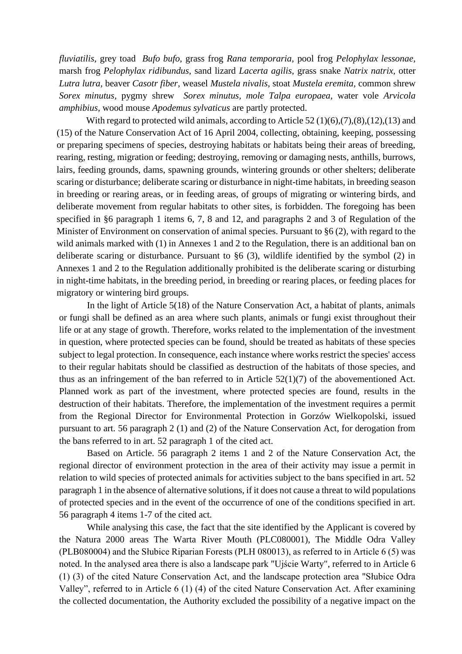*fluviatilis,* grey toad *Bufo bufo,* grass frog *Rana temporaria,* pool frog *Pelophylax lessonae,*  marsh frog *Pelophylax ridibundus,* sand lizard *Lacerta agilis,* grass snake *Natrix natrix,* otter *Lutra lutra,* beaver *Casotr fiber,* weasel *Mustela nivalis,* stoat *Mustela eremita,* common shrew *Sorex minutus,* pygmy shrew *Sorex minutus, mole Talpa europaea,* water vole *Arvicola amphibius,* wood mouse *Apodemus sylvaticus* are partly protected.

With regard to protected wild animals, according to Article 52 (1)(6),(7),(8),(12),(13) and (15) of the Nature Conservation Act of 16 April 2004, collecting, obtaining, keeping, possessing or preparing specimens of species, destroying habitats or habitats being their areas of breeding, rearing, resting, migration or feeding; destroying, removing or damaging nests, anthills, burrows, lairs, feeding grounds, dams, spawning grounds, wintering grounds or other shelters; deliberate scaring or disturbance; deliberate scaring or disturbance in night-time habitats, in breeding season in breeding or rearing areas, or in feeding areas, of groups of migrating or wintering birds, and deliberate movement from regular habitats to other sites, is forbidden. The foregoing has been specified in §6 paragraph 1 items 6, 7, 8 and 12, and paragraphs 2 and 3 of Regulation of the Minister of Environment on conservation of animal species. Pursuant to §6 (2), with regard to the wild animals marked with (1) in Annexes 1 and 2 to the Regulation, there is an additional ban on deliberate scaring or disturbance. Pursuant to §6 (3), wildlife identified by the symbol (2) in Annexes 1 and 2 to the Regulation additionally prohibited is the deliberate scaring or disturbing in night-time habitats, in the breeding period, in breeding or rearing places, or feeding places for migratory or wintering bird groups.

In the light of Article 5(18) of the Nature Conservation Act, a habitat of plants, animals or fungi shall be defined as an area where such plants, animals or fungi exist throughout their life or at any stage of growth. Therefore, works related to the implementation of the investment in question, where protected species can be found, should be treated as habitats of these species subject to legal protection. In consequence, each instance where works restrict the species' access to their regular habitats should be classified as destruction of the habitats of those species, and thus as an infringement of the ban referred to in Article 52(1)(7) of the abovementioned Act. Planned work as part of the investment, where protected species are found, results in the destruction of their habitats. Therefore, the implementation of the investment requires a permit from the Regional Director for Environmental Protection in Gorzów Wielkopolski, issued pursuant to art. 56 paragraph 2 (1) and (2) of the Nature Conservation Act, for derogation from the bans referred to in art. 52 paragraph 1 of the cited act.

Based on Article. 56 paragraph 2 items 1 and 2 of the Nature Conservation Act, the regional director of environment protection in the area of their activity may issue a permit in relation to wild species of protected animals for activities subject to the bans specified in art. 52 paragraph 1 in the absence of alternative solutions, if it does not cause a threat to wild populations of protected species and in the event of the occurrence of one of the conditions specified in art. 56 paragraph 4 items 1-7 of the cited act.

While analysing this case, the fact that the site identified by the Applicant is covered by the Natura 2000 areas The Warta River Mouth (PLC080001), The Middle Odra Valley (PLB080004) and the Słubice Riparian Forests (PLH 080013), as referred to in Article 6 (5) was noted. In the analysed area there is also a landscape park "Ujście Warty", referred to in Article 6 (1) (3) of the cited Nature Conservation Act, and the landscape protection area "Słubice Odra Valley", referred to in Article 6 (1) (4) of the cited Nature Conservation Act. After examining the collected documentation, the Authority excluded the possibility of a negative impact on the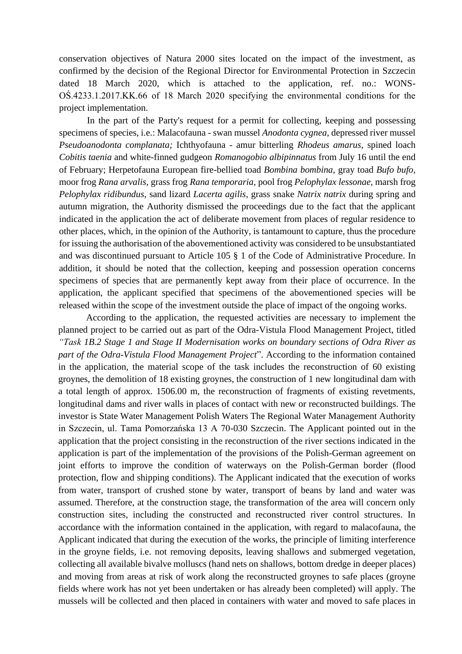conservation objectives of Natura 2000 sites located on the impact of the investment, as confirmed by the decision of the Regional Director for Environmental Protection in Szczecin dated 18 March 2020, which is attached to the application, ref. no.: WONS-OŚ.4233.1.2017.KK.66 of 18 March 2020 specifying the environmental conditions for the project implementation.

In the part of the Party's request for a permit for collecting, keeping and possessing specimens of species, i.e.: Malacofauna - swan mussel *Anodonta cygnea*, depressed river mussel *Pseudoanodonta complanata;* Ichthyofauna - amur bitterling *Rhodeus amarus,* spined loach *Cobitis taenia* and white-finned gudgeon *Romanogobio albipinnatus* from July 16 until the end of February; Herpetofauna European fire-bellied toad *Bombina bombina,* gray toad *Bufo bufo,* moor frog *Rana arvalis,* grass frog *Rana temporaria,* pool frog *Pelophylax lessonae,* marsh frog *Pelophylax ridibundus,* sand lizard *Lacerta agilis,* grass snake *Natrix natrix* during spring and autumn migration, the Authority dismissed the proceedings due to the fact that the applicant indicated in the application the act of deliberate movement from places of regular residence to other places, which, in the opinion of the Authority, is tantamount to capture, thus the procedure for issuing the authorisation of the abovementioned activity was considered to be unsubstantiated and was discontinued pursuant to Article 105 § 1 of the Code of Administrative Procedure. In addition, it should be noted that the collection, keeping and possession operation concerns specimens of species that are permanently kept away from their place of occurrence. In the application, the applicant specified that specimens of the abovementioned species will be released within the scope of the investment outside the place of impact of the ongoing works.

According to the application, the requested activities are necessary to implement the planned project to be carried out as part of the Odra-Vistula Flood Management Project, titled *"Task 1B.2 Stage 1 and Stage II Modernisation works on boundary sections of Odra River as part of the Odra-Vistula Flood Management Project*". According to the information contained in the application, the material scope of the task includes the reconstruction of 60 existing groynes, the demolition of 18 existing groynes, the construction of 1 new longitudinal dam with a total length of approx. 1506.00 m, the reconstruction of fragments of existing revetments, longitudinal dams and river walls in places of contact with new or reconstructed buildings. The investor is State Water Management Polish Waters The Regional Water Management Authority in Szczecin, ul. Tama Pomorzańska 13 A 70-030 Szczecin. The Applicant pointed out in the application that the project consisting in the reconstruction of the river sections indicated in the application is part of the implementation of the provisions of the Polish-German agreement on joint efforts to improve the condition of waterways on the Polish-German border (flood protection, flow and shipping conditions). The Applicant indicated that the execution of works from water, transport of crushed stone by water, transport of beans by land and water was assumed. Therefore, at the construction stage, the transformation of the area will concern only construction sites, including the constructed and reconstructed river control structures. In accordance with the information contained in the application, with regard to malacofauna, the Applicant indicated that during the execution of the works, the principle of limiting interference in the groyne fields, i.e. not removing deposits, leaving shallows and submerged vegetation, collecting all available bivalve molluscs (hand nets on shallows, bottom dredge in deeper places) and moving from areas at risk of work along the reconstructed groynes to safe places (groyne fields where work has not yet been undertaken or has already been completed) will apply. The mussels will be collected and then placed in containers with water and moved to safe places in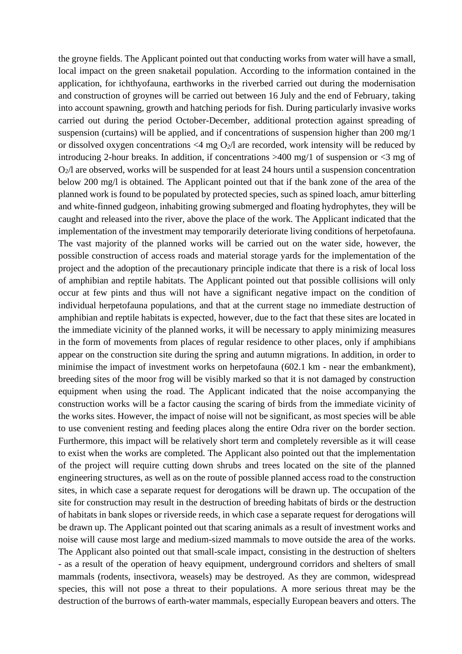the groyne fields. The Applicant pointed out that conducting works from water will have a small, local impact on the green snaketail population. According to the information contained in the application, for ichthyofauna, earthworks in the riverbed carried out during the modernisation and construction of groynes will be carried out between 16 July and the end of February, taking into account spawning, growth and hatching periods for fish. During particularly invasive works carried out during the period October-December, additional protection against spreading of suspension (curtains) will be applied, and if concentrations of suspension higher than 200 mg/1 or dissolved oxygen concentrations  $\langle 4 \rangle$  mg O<sub>2</sub>/l are recorded, work intensity will be reduced by introducing 2-hour breaks. In addition, if concentrations >400 mg/1 of suspension or <3 mg of  $O<sub>2</sub>/l$  are observed, works will be suspended for at least 24 hours until a suspension concentration below 200 mg/l is obtained. The Applicant pointed out that if the bank zone of the area of the planned work is found to be populated by protected species, such as spined loach, amur bitterling and white-finned gudgeon, inhabiting growing submerged and floating hydrophytes, they will be caught and released into the river, above the place of the work. The Applicant indicated that the implementation of the investment may temporarily deteriorate living conditions of herpetofauna. The vast majority of the planned works will be carried out on the water side, however, the possible construction of access roads and material storage yards for the implementation of the project and the adoption of the precautionary principle indicate that there is a risk of local loss of amphibian and reptile habitats. The Applicant pointed out that possible collisions will only occur at few pints and thus will not have a significant negative impact on the condition of individual herpetofauna populations, and that at the current stage no immediate destruction of amphibian and reptile habitats is expected, however, due to the fact that these sites are located in the immediate vicinity of the planned works, it will be necessary to apply minimizing measures in the form of movements from places of regular residence to other places, only if amphibians appear on the construction site during the spring and autumn migrations. In addition, in order to minimise the impact of investment works on herpetofauna (602.1 km - near the embankment), breeding sites of the moor frog will be visibly marked so that it is not damaged by construction equipment when using the road. The Applicant indicated that the noise accompanying the construction works will be a factor causing the scaring of birds from the immediate vicinity of the works sites. However, the impact of noise will not be significant, as most species will be able to use convenient resting and feeding places along the entire Odra river on the border section. Furthermore, this impact will be relatively short term and completely reversible as it will cease to exist when the works are completed. The Applicant also pointed out that the implementation of the project will require cutting down shrubs and trees located on the site of the planned engineering structures, as well as on the route of possible planned access road to the construction sites, in which case a separate request for derogations will be drawn up. The occupation of the site for construction may result in the destruction of breeding habitats of birds or the destruction of habitats in bank slopes or riverside reeds, in which case a separate request for derogations will be drawn up. The Applicant pointed out that scaring animals as a result of investment works and noise will cause most large and medium-sized mammals to move outside the area of the works. The Applicant also pointed out that small-scale impact, consisting in the destruction of shelters - as a result of the operation of heavy equipment, underground corridors and shelters of small mammals (rodents, insectivora, weasels) may be destroyed. As they are common, widespread species, this will not pose a threat to their populations. A more serious threat may be the destruction of the burrows of earth-water mammals, especially European beavers and otters. The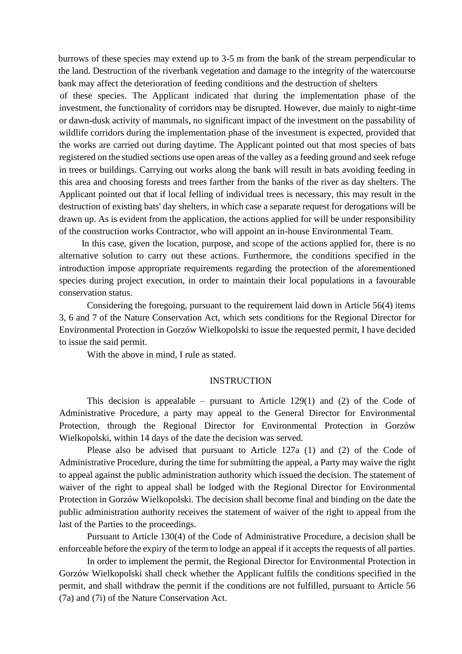burrows of these species may extend up to 3-5 m from the bank of the stream perpendicular to the land. Destruction of the riverbank vegetation and damage to the integrity of the watercourse bank may affect the deterioration of feeding conditions and the destruction of shelters

of these species. The Applicant indicated that during the implementation phase of the investment, the functionality of corridors may be disrupted. However, due mainly to night-time or dawn-dusk activity of mammals, no significant impact of the investment on the passability of wildlife corridors during the implementation phase of the investment is expected, provided that the works are carried out during daytime. The Applicant pointed out that most species of bats registered on the studied sections use open areas of the valley as a feeding ground and seek refuge in trees or buildings. Carrying out works along the bank will result in bats avoiding feeding in this area and choosing forests and trees farther from the banks of the river as day shelters. The Applicant pointed out that if local felling of individual trees is necessary, this may result in the destruction of existing bats' day shelters, in which case a separate request for derogations will be drawn up. As is evident from the application, the actions applied for will be under responsibility of the construction works Contractor, who will appoint an in-house Environmental Team.

In this case, given the location, purpose, and scope of the actions applied for, there is no alternative solution to carry out these actions. Furthermore, the conditions specified in the introduction impose appropriate requirements regarding the protection of the aforementioned species during project execution, in order to maintain their local populations in a favourable conservation status.

Considering the foregoing, pursuant to the requirement laid down in Article 56(4) items 3, 6 and 7 of the Nature Conservation Act, which sets conditions for the Regional Director for Environmental Protection in Gorzów Wielkopolski to issue the requested permit, I have decided to issue the said permit.

With the above in mind, I rule as stated.

#### INSTRUCTION

This decision is appealable – pursuant to Article  $129(1)$  and (2) of the Code of Administrative Procedure, a party may appeal to the General Director for Environmental Protection, through the Regional Director for Environmental Protection in Gorzów Wielkopolski, within 14 days of the date the decision was served.

Please also be advised that pursuant to Article 127a (1) and (2) of the Code of Administrative Procedure, during the time for submitting the appeal, a Party may waive the right to appeal against the public administration authority which issued the decision. The statement of waiver of the right to appeal shall be lodged with the Regional Director for Environmental Protection in Gorzów Wielkopolski. The decision shall become final and binding on the date the public administration authority receives the statement of waiver of the right to appeal from the last of the Parties to the proceedings.

Pursuant to Article 130(4) of the Code of Administrative Procedure, a decision shall be enforceable before the expiry of the term to lodge an appeal if it accepts the requests of all parties.

In order to implement the permit, the Regional Director for Environmental Protection in Gorzów Wielkopolski shall check whether the Applicant fulfils the conditions specified in the permit, and shall withdraw the permit if the conditions are not fulfilled, pursuant to Article 56 (7a) and (7i) of the Nature Conservation Act.